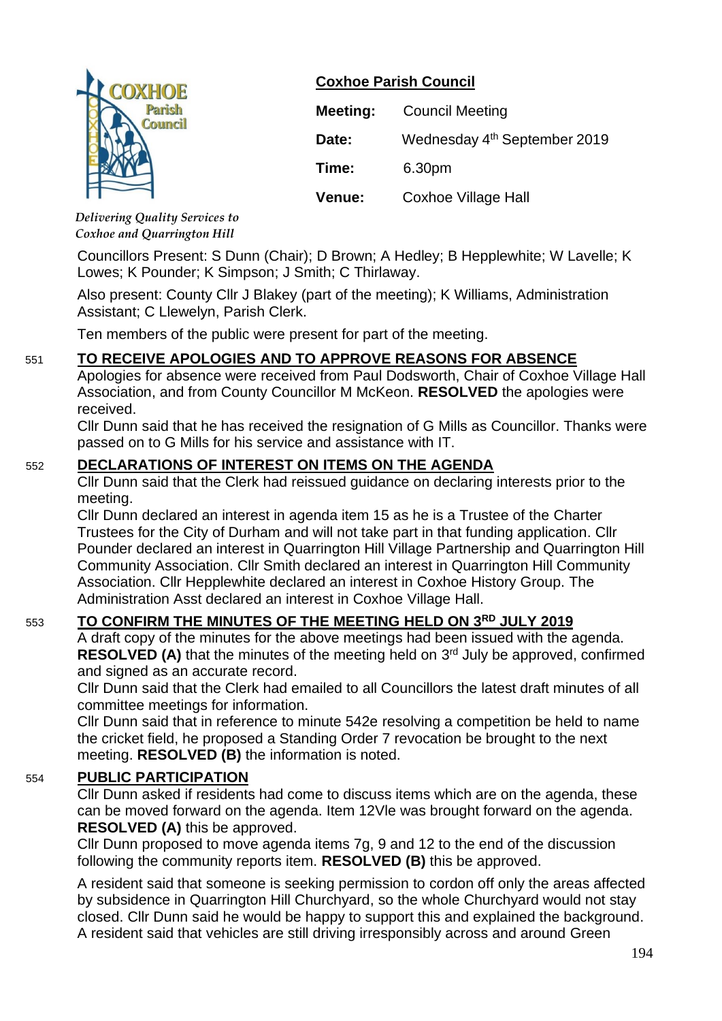

## **Coxhoe Parish Council**

| Meeting: | <b>Council Meeting</b>                   |
|----------|------------------------------------------|
| Date:    | Wednesday 4 <sup>th</sup> September 2019 |
| Time:    | 6.30pm                                   |
| Venue:   | <b>Coxhoe Village Hall</b>               |

*Delivering Quality Services to Coxhoe and Quarrington Hill*

Councillors Present: S Dunn (Chair); D Brown; A Hedley; B Hepplewhite; W Lavelle; K Lowes; K Pounder; K Simpson; J Smith; C Thirlaway.

Also present: County Cllr J Blakey (part of the meeting); K Williams, Administration Assistant; C Llewelyn, Parish Clerk.

Ten members of the public were present for part of the meeting.

# 551 **TO RECEIVE APOLOGIES AND TO APPROVE REASONS FOR ABSENCE**

Apologies for absence were received from Paul Dodsworth, Chair of Coxhoe Village Hall Association, and from County Councillor M McKeon. **RESOLVED** the apologies were received.

Cllr Dunn said that he has received the resignation of G Mills as Councillor. Thanks were passed on to G Mills for his service and assistance with IT.

## 552 **DECLARATIONS OF INTEREST ON ITEMS ON THE AGENDA**

Cllr Dunn said that the Clerk had reissued guidance on declaring interests prior to the meeting.

Cllr Dunn declared an interest in agenda item 15 as he is a Trustee of the Charter Trustees for the City of Durham and will not take part in that funding application. Cllr Pounder declared an interest in Quarrington Hill Village Partnership and Quarrington Hill Community Association. Cllr Smith declared an interest in Quarrington Hill Community Association. Cllr Hepplewhite declared an interest in Coxhoe History Group. The Administration Asst declared an interest in Coxhoe Village Hall.

# 553 **TO CONFIRM THE MINUTES OF THE MEETING HELD ON 3 RD JULY 2019**

A draft copy of the minutes for the above meetings had been issued with the agenda. RESOLVED (A) that the minutes of the meeting held on 3<sup>rd</sup> July be approved, confirmed and signed as an accurate record.

Cllr Dunn said that the Clerk had emailed to all Councillors the latest draft minutes of all committee meetings for information.

Cllr Dunn said that in reference to minute 542e resolving a competition be held to name the cricket field, he proposed a Standing Order 7 revocation be brought to the next meeting. **RESOLVED (B)** the information is noted.

## 554 **PUBLIC PARTICIPATION**

Cllr Dunn asked if residents had come to discuss items which are on the agenda, these can be moved forward on the agenda. Item 12Vle was brought forward on the agenda. **RESOLVED (A)** this be approved.

Cllr Dunn proposed to move agenda items 7g, 9 and 12 to the end of the discussion following the community reports item. **RESOLVED (B)** this be approved.

A resident said that someone is seeking permission to cordon off only the areas affected by subsidence in Quarrington Hill Churchyard, so the whole Churchyard would not stay closed. Cllr Dunn said he would be happy to support this and explained the background. A resident said that vehicles are still driving irresponsibly across and around Green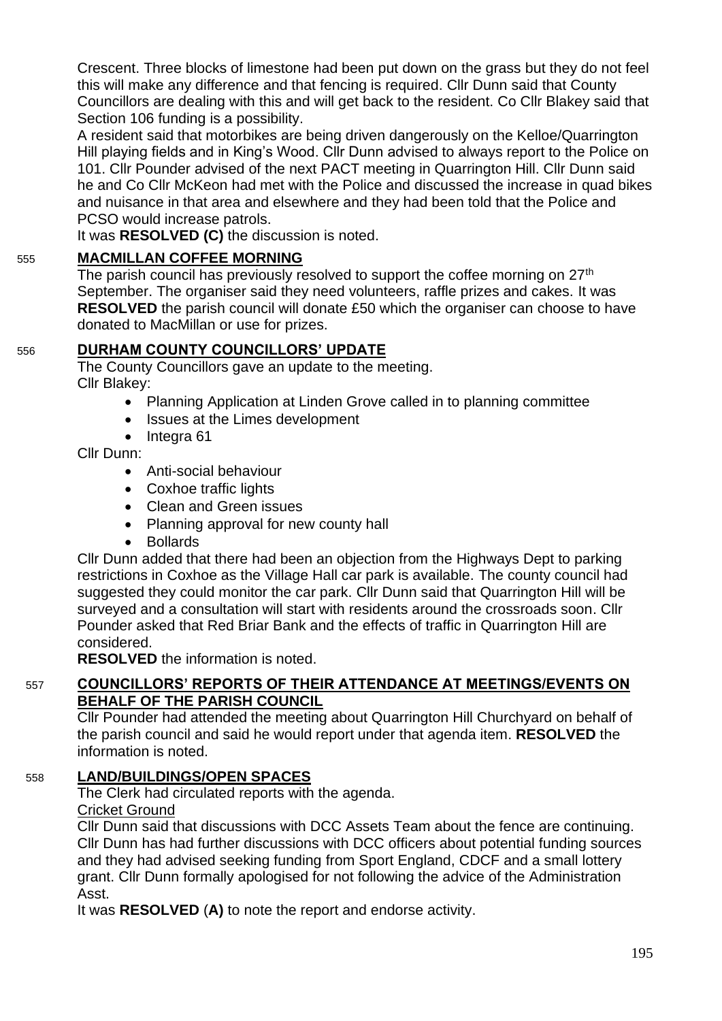Crescent. Three blocks of limestone had been put down on the grass but they do not feel this will make any difference and that fencing is required. Cllr Dunn said that County Councillors are dealing with this and will get back to the resident. Co Cllr Blakey said that Section 106 funding is a possibility.

A resident said that motorbikes are being driven dangerously on the Kelloe/Quarrington Hill playing fields and in King's Wood. Cllr Dunn advised to always report to the Police on 101. Cllr Pounder advised of the next PACT meeting in Quarrington Hill. Cllr Dunn said he and Co Cllr McKeon had met with the Police and discussed the increase in quad bikes and nuisance in that area and elsewhere and they had been told that the Police and PCSO would increase patrols.

It was **RESOLVED (C)** the discussion is noted.

# 555 **MACMILLAN COFFEE MORNING**

The parish council has previously resolved to support the coffee morning on  $27<sup>th</sup>$ September. The organiser said they need volunteers, raffle prizes and cakes. It was **RESOLVED** the parish council will donate £50 which the organiser can choose to have donated to MacMillan or use for prizes.

# 556 **DURHAM COUNTY COUNCILLORS' UPDATE**

The County Councillors gave an update to the meeting. Cllr Blakey:

- Planning Application at Linden Grove called in to planning committee
- Issues at the Limes development
- Integra 61

Cllr Dunn:

- Anti-social behaviour
- Coxhoe traffic lights
- Clean and Green issues
- Planning approval for new county hall
- Bollards

Cllr Dunn added that there had been an objection from the Highways Dept to parking restrictions in Coxhoe as the Village Hall car park is available. The county council had suggested they could monitor the car park. Cllr Dunn said that Quarrington Hill will be surveyed and a consultation will start with residents around the crossroads soon. Cllr Pounder asked that Red Briar Bank and the effects of traffic in Quarrington Hill are considered.

**RESOLVED** the information is noted.

## 557 **COUNCILLORS' REPORTS OF THEIR ATTENDANCE AT MEETINGS/EVENTS ON BEHALF OF THE PARISH COUNCIL**

Cllr Pounder had attended the meeting about Quarrington Hill Churchyard on behalf of the parish council and said he would report under that agenda item. **RESOLVED** the information is noted.

# 558 **LAND/BUILDINGS/OPEN SPACES**

The Clerk had circulated reports with the agenda.

## Cricket Ground

Cllr Dunn said that discussions with DCC Assets Team about the fence are continuing. Cllr Dunn has had further discussions with DCC officers about potential funding sources and they had advised seeking funding from Sport England, CDCF and a small lottery grant. Cllr Dunn formally apologised for not following the advice of the Administration Asst.

It was **RESOLVED** (**A)** to note the report and endorse activity.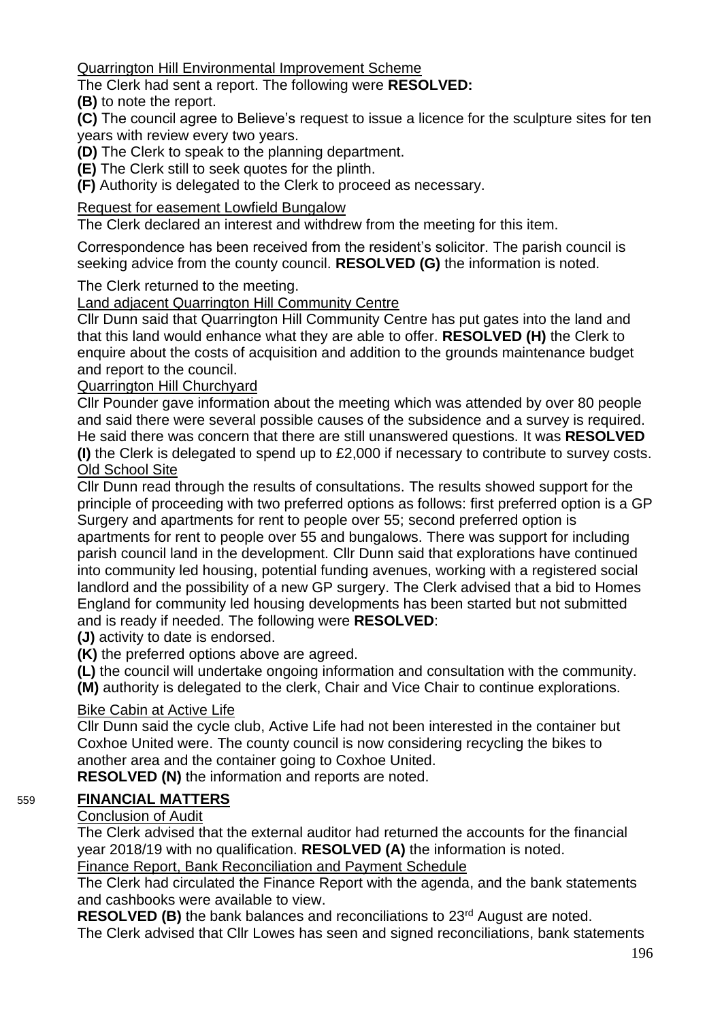Quarrington Hill Environmental Improvement Scheme

The Clerk had sent a report. The following were **RESOLVED:**

**(B)** to note the report.

**(C)** The council agree to Believe's request to issue a licence for the sculpture sites for ten years with review every two years.

**(D)** The Clerk to speak to the planning department.

**(E)** The Clerk still to seek quotes for the plinth.

**(F)** Authority is delegated to the Clerk to proceed as necessary.

## Request for easement Lowfield Bungalow

The Clerk declared an interest and withdrew from the meeting for this item.

Correspondence has been received from the resident's solicitor. The parish council is seeking advice from the county council. **RESOLVED (G)** the information is noted.

#### The Clerk returned to the meeting.

Land adjacent Quarrington Hill Community Centre

Cllr Dunn said that Quarrington Hill Community Centre has put gates into the land and that this land would enhance what they are able to offer. **RESOLVED (H)** the Clerk to enquire about the costs of acquisition and addition to the grounds maintenance budget and report to the council.

#### Quarrington Hill Churchyard

Cllr Pounder gave information about the meeting which was attended by over 80 people and said there were several possible causes of the subsidence and a survey is required. He said there was concern that there are still unanswered questions. It was **RESOLVED (I)** the Clerk is delegated to spend up to £2,000 if necessary to contribute to survey costs. Old School Site

Cllr Dunn read through the results of consultations. The results showed support for the principle of proceeding with two preferred options as follows: first preferred option is a GP Surgery and apartments for rent to people over 55; second preferred option is apartments for rent to people over 55 and bungalows. There was support for including parish council land in the development. Cllr Dunn said that explorations have continued into community led housing, potential funding avenues, working with a registered social landlord and the possibility of a new GP surgery. The Clerk advised that a bid to Homes England for community led housing developments has been started but not submitted and is ready if needed. The following were **RESOLVED**:

**(J)** activity to date is endorsed.

**(K)** the preferred options above are agreed.

**(L)** the council will undertake ongoing information and consultation with the community.

**(M)** authority is delegated to the clerk, Chair and Vice Chair to continue explorations.

## Bike Cabin at Active Life

Cllr Dunn said the cycle club, Active Life had not been interested in the container but Coxhoe United were. The county council is now considering recycling the bikes to another area and the container going to Coxhoe United.

**RESOLVED (N)** the information and reports are noted.

#### 559 **FINANCIAL MATTERS**

#### Conclusion of Audit

The Clerk advised that the external auditor had returned the accounts for the financial year 2018/19 with no qualification. **RESOLVED (A)** the information is noted. Finance Report, Bank Reconciliation and Payment Schedule

The Clerk had circulated the Finance Report with the agenda, and the bank statements and cashbooks were available to view.

**RESOLVED (B)** the bank balances and reconciliations to 23<sup>rd</sup> August are noted. The Clerk advised that Cllr Lowes has seen and signed reconciliations, bank statements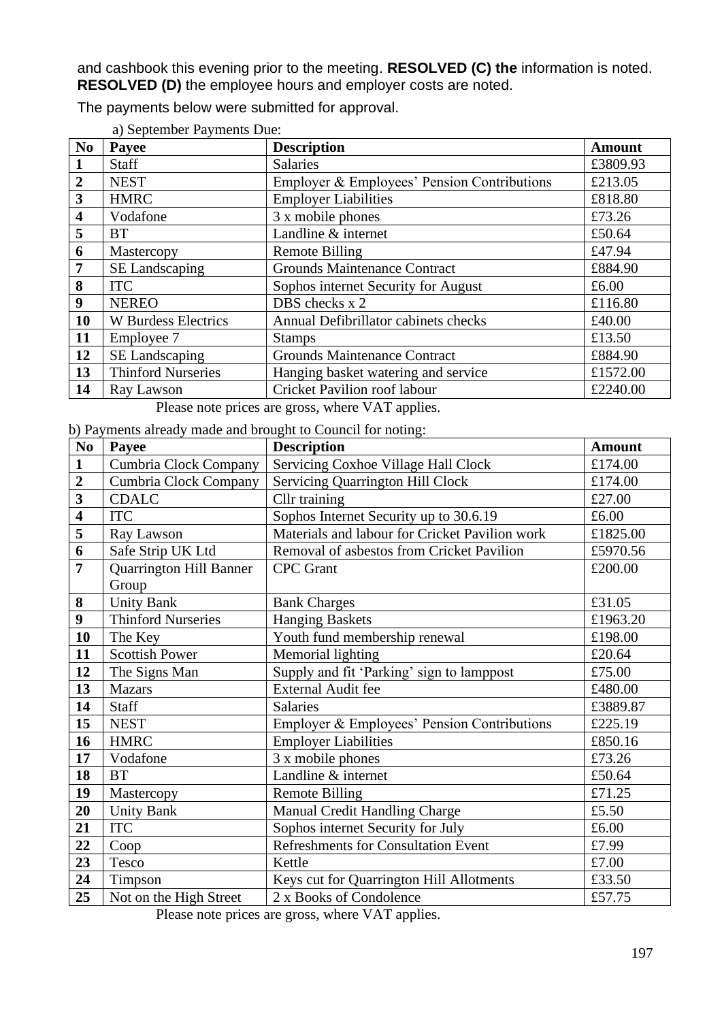and cashbook this evening prior to the meeting. **RESOLVED (C) the** information is noted. **RESOLVED (D)** the employee hours and employer costs are noted.

| a) September Payments Due: |                                                  |                                             |          |  |
|----------------------------|--------------------------------------------------|---------------------------------------------|----------|--|
| N <sub>0</sub>             | Payee                                            | <b>Description</b>                          | Amount   |  |
|                            | <b>Staff</b>                                     | <b>Salaries</b>                             | £3809.93 |  |
| $\overline{2}$             | <b>NEST</b>                                      | Employer & Employees' Pension Contributions | £213.05  |  |
| 3                          | <b>HMRC</b>                                      | <b>Employer Liabilities</b>                 | £818.80  |  |
| $\overline{\mathbf{4}}$    | Vodafone                                         | 3 x mobile phones                           | £73.26   |  |
| 5                          | <b>BT</b>                                        | Landline & internet                         | £50.64   |  |
| 6                          | Mastercopy                                       | Remote Billing                              | £47.94   |  |
| 7                          | SE Landscaping                                   | <b>Grounds Maintenance Contract</b>         | £884.90  |  |
| 8                          | <b>ITC</b>                                       | Sophos internet Security for August         | £6.00    |  |
| 9                          | <b>NEREO</b>                                     | DBS checks x 2                              | £116.80  |  |
| 10                         | <b>W</b> Burdess Electrics                       | Annual Defibrillator cabinets checks        | £40.00   |  |
| 11                         | Employee 7                                       | <b>Stamps</b>                               | £13.50   |  |
| 12                         | SE Landscaping                                   | <b>Grounds Maintenance Contract</b>         | £884.90  |  |
| 13                         | <b>Thinford Nurseries</b>                        | Hanging basket watering and service         | £1572.00 |  |
| 14                         | Ray Lawson                                       | Cricket Pavilion roof labour                | £2240.00 |  |
|                            | Please note prices are gross, where VAT applies. |                                             |          |  |

The payments below were submitted for approval.

b) Payments already made and brought to Council for noting:

| N <sub>0</sub>          | $\sigma$ ) I a vincins already made and prought to council for houng.<br>Payee | <b>Description</b>                             | <b>Amount</b> |
|-------------------------|--------------------------------------------------------------------------------|------------------------------------------------|---------------|
| $\mathbf{1}$            | Cumbria Clock Company                                                          | Servicing Coxhoe Village Hall Clock            | £174.00       |
| $\boldsymbol{2}$        | Cumbria Clock Company                                                          | <b>Servicing Quarrington Hill Clock</b>        | £174.00       |
| $\overline{\mathbf{3}}$ | <b>CDALC</b>                                                                   | Cllr training                                  | £27.00        |
| $\overline{\mathbf{4}}$ | <b>ITC</b>                                                                     | Sophos Internet Security up to 30.6.19         | £6.00         |
| 5                       | Ray Lawson                                                                     | Materials and labour for Cricket Pavilion work | £1825.00      |
| 6                       | Safe Strip UK Ltd                                                              | Removal of asbestos from Cricket Pavilion      | £5970.56      |
| $\overline{7}$          | <b>Quarrington Hill Banner</b>                                                 | <b>CPC</b> Grant                               | £200.00       |
|                         | Group                                                                          |                                                |               |
| 8                       | <b>Unity Bank</b>                                                              | <b>Bank Charges</b>                            | £31.05        |
| 9                       | <b>Thinford Nurseries</b>                                                      | <b>Hanging Baskets</b>                         | £1963.20      |
| 10                      | The Key                                                                        | Youth fund membership renewal                  | £198.00       |
| 11                      | <b>Scottish Power</b>                                                          | Memorial lighting                              | £20.64        |
| 12                      | The Signs Man                                                                  | Supply and fit 'Parking' sign to lamppost      | £75.00        |
| 13                      | <b>Mazars</b>                                                                  | External Audit fee                             | £480.00       |
| 14                      | <b>Staff</b>                                                                   | <b>Salaries</b>                                | £3889.87      |
| 15                      | <b>NEST</b>                                                                    | Employer & Employees' Pension Contributions    | £225.19       |
| 16                      | <b>HMRC</b>                                                                    | <b>Employer Liabilities</b>                    | £850.16       |
| 17                      | Vodafone                                                                       | 3 x mobile phones                              | £73.26        |
| 18                      | <b>BT</b>                                                                      | Landline & internet                            | £50.64        |
| 19                      | Mastercopy                                                                     | <b>Remote Billing</b>                          | £71.25        |
| 20                      | <b>Unity Bank</b>                                                              | <b>Manual Credit Handling Charge</b>           | £5.50         |
| 21                      | <b>ITC</b>                                                                     | Sophos internet Security for July              | £6.00         |
| 22                      | Coop                                                                           | <b>Refreshments for Consultation Event</b>     | £7.99         |
| 23                      | Tesco                                                                          | Kettle                                         | £7.00         |
| 24                      | Timpson                                                                        | Keys cut for Quarrington Hill Allotments       | £33.50        |
| 25                      | Not on the High Street                                                         | 2 x Books of Condolence                        | £57.75        |

Please note prices are gross, where VAT applies.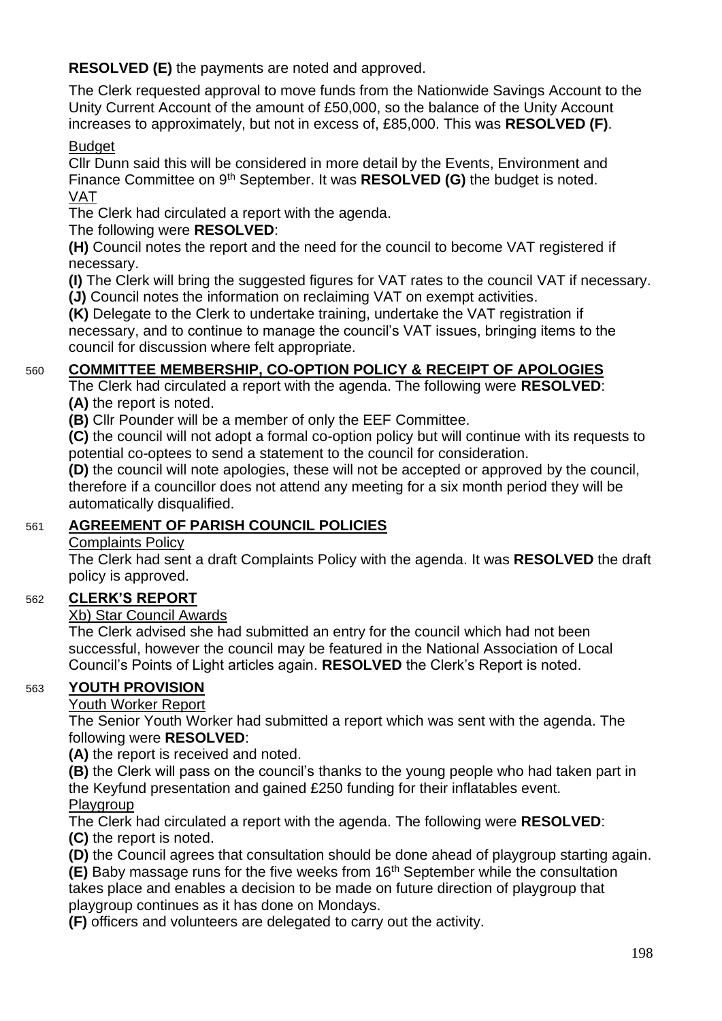**RESOLVED (E)** the payments are noted and approved.

The Clerk requested approval to move funds from the Nationwide Savings Account to the Unity Current Account of the amount of £50,000, so the balance of the Unity Account increases to approximately, but not in excess of, £85,000. This was **RESOLVED (F)**.

## Budget

Cllr Dunn said this will be considered in more detail by the Events, Environment and Finance Committee on 9th September. It was **RESOLVED (G)** the budget is noted. VAT

The Clerk had circulated a report with the agenda.

The following were **RESOLVED**:

**(H)** Council notes the report and the need for the council to become VAT registered if necessary.

**(I)** The Clerk will bring the suggested figures for VAT rates to the council VAT if necessary. **(J)** Council notes the information on reclaiming VAT on exempt activities.

**(K)** Delegate to the Clerk to undertake training, undertake the VAT registration if necessary, and to continue to manage the council's VAT issues, bringing items to the council for discussion where felt appropriate.

## 560 **COMMITTEE MEMBERSHIP, CO-OPTION POLICY & RECEIPT OF APOLOGIES**

The Clerk had circulated a report with the agenda. The following were **RESOLVED**: **(A)** the report is noted.

**(B)** Cllr Pounder will be a member of only the EEF Committee.

**(C)** the council will not adopt a formal co-option policy but will continue with its requests to potential co-optees to send a statement to the council for consideration.

**(D)** the council will note apologies, these will not be accepted or approved by the council, therefore if a councillor does not attend any meeting for a six month period they will be automatically disqualified.

# 561 **AGREEMENT OF PARISH COUNCIL POLICIES**

## Complaints Policy

The Clerk had sent a draft Complaints Policy with the agenda. It was **RESOLVED** the draft policy is approved.

## 562 **CLERK'S REPORT**

## Xb) Star Council Awards

The Clerk advised she had submitted an entry for the council which had not been successful, however the council may be featured in the National Association of Local Council's Points of Light articles again. **RESOLVED** the Clerk's Report is noted.

## 563 **YOUTH PROVISION**

## Youth Worker Report

The Senior Youth Worker had submitted a report which was sent with the agenda. The following were **RESOLVED**:

**(A)** the report is received and noted.

**(B)** the Clerk will pass on the council's thanks to the young people who had taken part in the Keyfund presentation and gained £250 funding for their inflatables event.

**Playgroup** 

The Clerk had circulated a report with the agenda. The following were **RESOLVED**: **(C)** the report is noted.

**(D)** the Council agrees that consultation should be done ahead of playgroup starting again.

**(E)** Baby massage runs for the five weeks from 16<sup>th</sup> September while the consultation takes place and enables a decision to be made on future direction of playgroup that playgroup continues as it has done on Mondays.

**(F)** officers and volunteers are delegated to carry out the activity.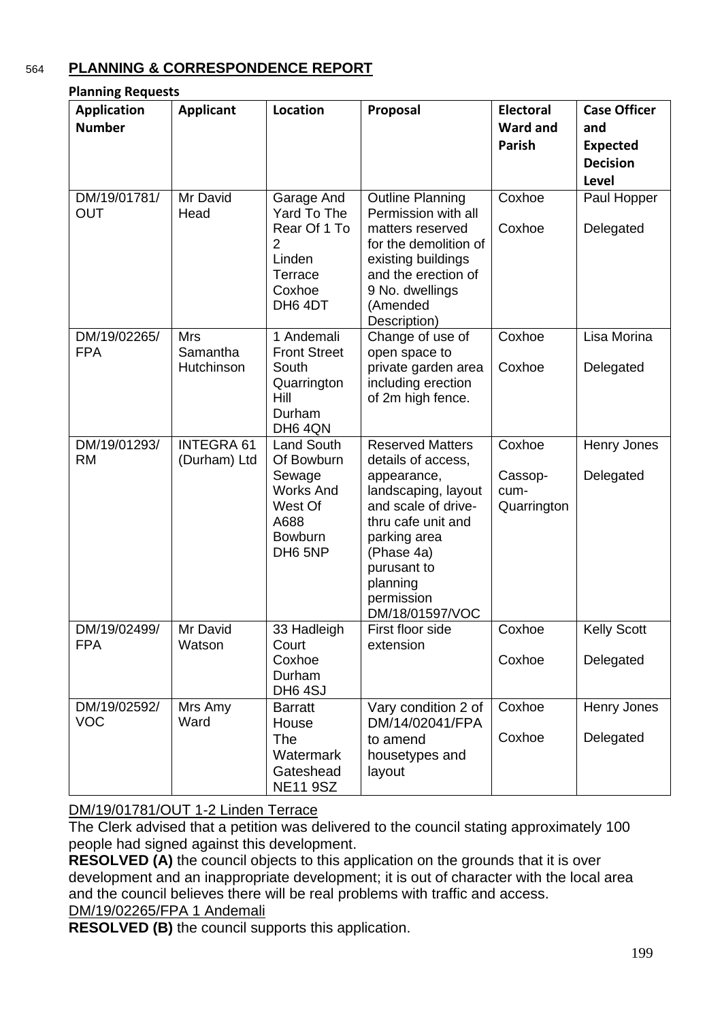## 564 **PLANNING & CORRESPONDENCE REPORT**

| <b>Application</b><br><b>Number</b> | <b>Applicant</b>                     | Location                                                                                                                  | Proposal                                                                                                                                                                                                                   | <b>Electoral</b><br>Ward and             | <b>Case Officer</b><br>and                         |
|-------------------------------------|--------------------------------------|---------------------------------------------------------------------------------------------------------------------------|----------------------------------------------------------------------------------------------------------------------------------------------------------------------------------------------------------------------------|------------------------------------------|----------------------------------------------------|
|                                     |                                      |                                                                                                                           |                                                                                                                                                                                                                            | <b>Parish</b>                            | <b>Expected</b><br><b>Decision</b><br><b>Level</b> |
| DM/19/01781/<br><b>OUT</b>          | Mr David<br>Head                     | Garage And<br>Yard To The<br>Rear Of 1 To<br>2<br>Linden<br>Terrace<br>Coxhoe<br>DH64DT                                   | <b>Outline Planning</b><br>Permission with all<br>matters reserved<br>for the demolition of<br>existing buildings<br>and the erection of<br>9 No. dwellings<br>(Amended<br>Description)                                    | Coxhoe<br>Coxhoe                         | Paul Hopper<br>Delegated                           |
| DM/19/02265/<br><b>FPA</b>          | <b>Mrs</b><br>Samantha<br>Hutchinson | 1 Andemali<br><b>Front Street</b><br>South<br>Quarrington<br>Hill<br>Durham<br>DH6 4QN                                    | Change of use of<br>open space to<br>private garden area<br>including erection<br>of 2m high fence.                                                                                                                        | Coxhoe<br>Coxhoe                         | Lisa Morina<br>Delegated                           |
| DM/19/01293/<br><b>RM</b>           | <b>INTEGRA 61</b><br>(Durham) Ltd    | <b>Land South</b><br>Of Bowburn<br>Sewage<br><b>Works And</b><br>West Of<br>A688<br><b>Bowburn</b><br>DH <sub>6</sub> 5NP | <b>Reserved Matters</b><br>details of access,<br>appearance,<br>landscaping, layout<br>and scale of drive-<br>thru cafe unit and<br>parking area<br>(Phase 4a)<br>purusant to<br>planning<br>permission<br>DM/18/01597/VOC | Coxhoe<br>Cassop-<br>cum-<br>Quarrington | Henry Jones<br>Delegated                           |
| DM/19/02499/<br><b>FPA</b>          | Mr David<br>Watson                   | 33 Hadleigh<br>Court<br>Coxhoe<br>Durham<br>DH64SJ                                                                        | First floor side<br>extension                                                                                                                                                                                              | Coxhoe<br>Coxhoe                         | <b>Kelly Scott</b><br>Delegated                    |
| DM/19/02592/<br><b>VOC</b>          | Mrs Amy<br>Ward                      | <b>Barratt</b><br>House<br><b>The</b><br>Watermark<br>Gateshead<br><b>NE11 9SZ</b>                                        | Vary condition 2 of<br>DM/14/02041/FPA<br>to amend<br>housetypes and<br>layout                                                                                                                                             | Coxhoe<br>Coxhoe                         | Henry Jones<br>Delegated                           |

## DM/19/01781/OUT 1-2 Linden Terrace

The Clerk advised that a petition was delivered to the council stating approximately 100 people had signed against this development.

**RESOLVED** (A) the council objects to this application on the grounds that it is over development and an inappropriate development; it is out of character with the local area and the council believes there will be real problems with traffic and access. DM/19/02265/FPA 1 Andemali

**RESOLVED (B)** the council supports this application.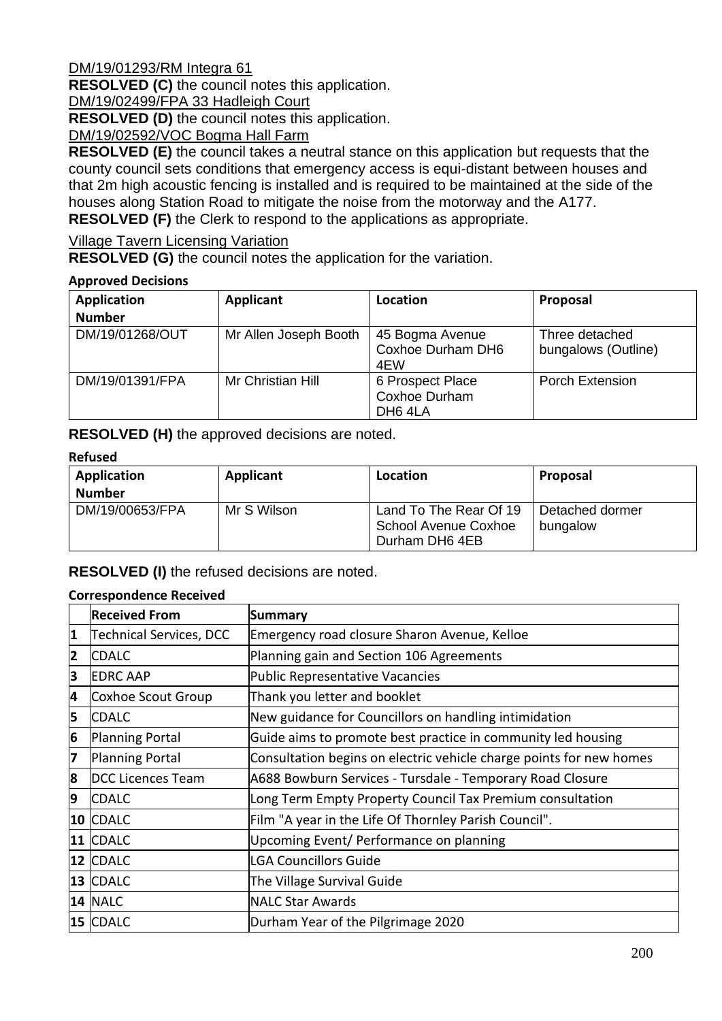DM/19/01293/RM Integra 61

**RESOLVED (C)** the council notes this application.

DM/19/02499/FPA 33 Hadleigh Court

**RESOLVED (D)** the council notes this application.

DM/19/02592/VOC Bogma Hall Farm

**RESOLVED (E)** the council takes a neutral stance on this application but requests that the county council sets conditions that emergency access is equi-distant between houses and that 2m high acoustic fencing is installed and is required to be maintained at the side of the houses along Station Road to mitigate the noise from the motorway and the A177. **RESOLVED (F)** the Clerk to respond to the applications as appropriate.

Village Tavern Licensing Variation

**RESOLVED (G)** the council notes the application for the variation.

#### **Approved Decisions**

| <b>Application</b><br><b>Number</b> | Applicant             | Location                                                        | Proposal                              |
|-------------------------------------|-----------------------|-----------------------------------------------------------------|---------------------------------------|
| DM/19/01268/OUT                     | Mr Allen Joseph Booth | 45 Bogma Avenue<br>Coxhoe Durham DH6<br>4EW                     | Three detached<br>bungalows (Outline) |
| DM/19/01391/FPA                     | Mr Christian Hill     | 6 Prospect Place<br><b>Coxhoe Durham</b><br>DH <sub>6</sub> 4LA | <b>Porch Extension</b>                |

**RESOLVED (H)** the approved decisions are noted.

#### **Refused**

| Application     | Applicant   | Location                                                         | Proposal                    |
|-----------------|-------------|------------------------------------------------------------------|-----------------------------|
| <b>Number</b>   |             |                                                                  |                             |
| DM/19/00653/FPA | Mr S Wilson | Land To The Rear Of 19<br>School Avenue Coxhoe<br>Durham DH6 4EB | Detached dormer<br>bungalow |

#### **RESOLVED (I)** the refused decisions are noted.

#### **Correspondence Received**

|                | <b>Received From</b>     | <b>Summary</b>                                                      |
|----------------|--------------------------|---------------------------------------------------------------------|
| 1              | Technical Services, DCC  | Emergency road closure Sharon Avenue, Kelloe                        |
| $\overline{2}$ | <b>CDALC</b>             | Planning gain and Section 106 Agreements                            |
| 3              | <b>EDRC AAP</b>          | Public Representative Vacancies                                     |
| 4              | Coxhoe Scout Group       | Thank you letter and booklet                                        |
| 5              | <b>CDALC</b>             | New guidance for Councillors on handling intimidation               |
| 6              | <b>Planning Portal</b>   | Guide aims to promote best practice in community led housing        |
| 7              | <b>Planning Portal</b>   | Consultation begins on electric vehicle charge points for new homes |
| 8              | <b>DCC Licences Team</b> | A688 Bowburn Services - Tursdale - Temporary Road Closure           |
| 9              | <b>CDALC</b>             | Long Term Empty Property Council Tax Premium consultation           |
|                | 10 CDALC                 | Film "A year in the Life Of Thornley Parish Council".               |
|                | 11 CDALC                 | Upcoming Event/ Performance on planning                             |
|                | 12 CDALC                 | <b>LGA Councillors Guide</b>                                        |
|                | 13 CDALC                 | The Village Survival Guide                                          |
|                | <b>14 NALC</b>           | <b>NALC Star Awards</b>                                             |
|                | 15 CDALC                 | Durham Year of the Pilgrimage 2020                                  |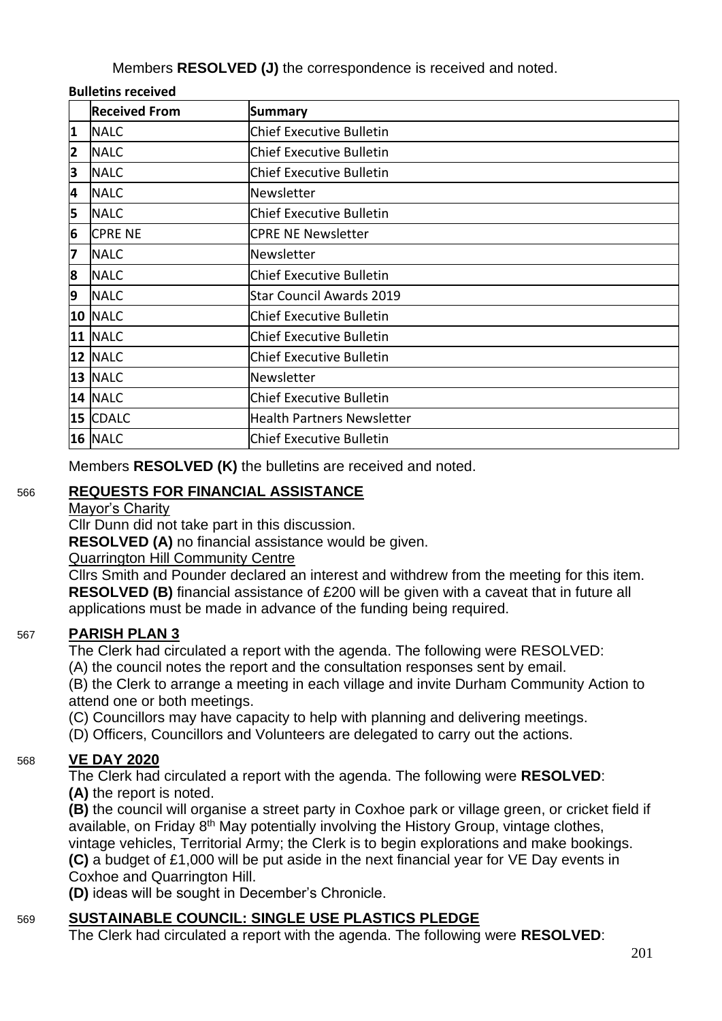Members **RESOLVED (J)** the correspondence is received and noted.

#### **Bulletins received**

|                         | <b>Received From</b> | <b>Summary</b>                    |
|-------------------------|----------------------|-----------------------------------|
| 1                       | <b>NALC</b>          | <b>Chief Executive Bulletin</b>   |
| $\overline{\mathbf{2}}$ | <b>NALC</b>          | <b>Chief Executive Bulletin</b>   |
| З                       | <b>NALC</b>          | <b>Chief Executive Bulletin</b>   |
| 4                       | <b>NALC</b>          | Newsletter                        |
| 5                       | <b>NALC</b>          | <b>Chief Executive Bulletin</b>   |
| 6                       | <b>CPRE NE</b>       | <b>CPRE NE Newsletter</b>         |
| 7                       | <b>NALC</b>          | Newsletter                        |
| 8                       | <b>NALC</b>          | <b>Chief Executive Bulletin</b>   |
| 9                       | <b>NALC</b>          | <b>Star Council Awards 2019</b>   |
|                         | 10 NALC              | <b>Chief Executive Bulletin</b>   |
|                         | 11 NALC              | <b>Chief Executive Bulletin</b>   |
|                         | 12 NALC              | <b>Chief Executive Bulletin</b>   |
|                         | 13 NALC              | Newsletter                        |
|                         | 14 NALC              | <b>Chief Executive Bulletin</b>   |
|                         | 15 CDALC             | <b>Health Partners Newsletter</b> |
|                         | 16 NALC              | <b>Chief Executive Bulletin</b>   |

Members **RESOLVED (K)** the bulletins are received and noted.

# 566 **REQUESTS FOR FINANCIAL ASSISTANCE**

#### Mayor's Charity

Cllr Dunn did not take part in this discussion.

**RESOLVED (A)** no financial assistance would be given.

Quarrington Hill Community Centre

Cllrs Smith and Pounder declared an interest and withdrew from the meeting for this item. **RESOLVED (B)** financial assistance of £200 will be given with a caveat that in future all applications must be made in advance of the funding being required.

# 567 **PARISH PLAN 3**

The Clerk had circulated a report with the agenda. The following were RESOLVED:

(A) the council notes the report and the consultation responses sent by email.

(B) the Clerk to arrange a meeting in each village and invite Durham Community Action to attend one or both meetings.

(C) Councillors may have capacity to help with planning and delivering meetings.

(D) Officers, Councillors and Volunteers are delegated to carry out the actions.

# 568 **VE DAY 2020**

The Clerk had circulated a report with the agenda. The following were **RESOLVED**: **(A)** the report is noted.

**(B)** the council will organise a street party in Coxhoe park or village green, or cricket field if available, on Friday 8<sup>th</sup> May potentially involving the History Group, vintage clothes, vintage vehicles, Territorial Army; the Clerk is to begin explorations and make bookings. **(C)** a budget of £1,000 will be put aside in the next financial year for VE Day events in Coxhoe and Quarrington Hill.

**(D)** ideas will be sought in December's Chronicle.

# 569 **SUSTAINABLE COUNCIL: SINGLE USE PLASTICS PLEDGE**

The Clerk had circulated a report with the agenda. The following were **RESOLVED**: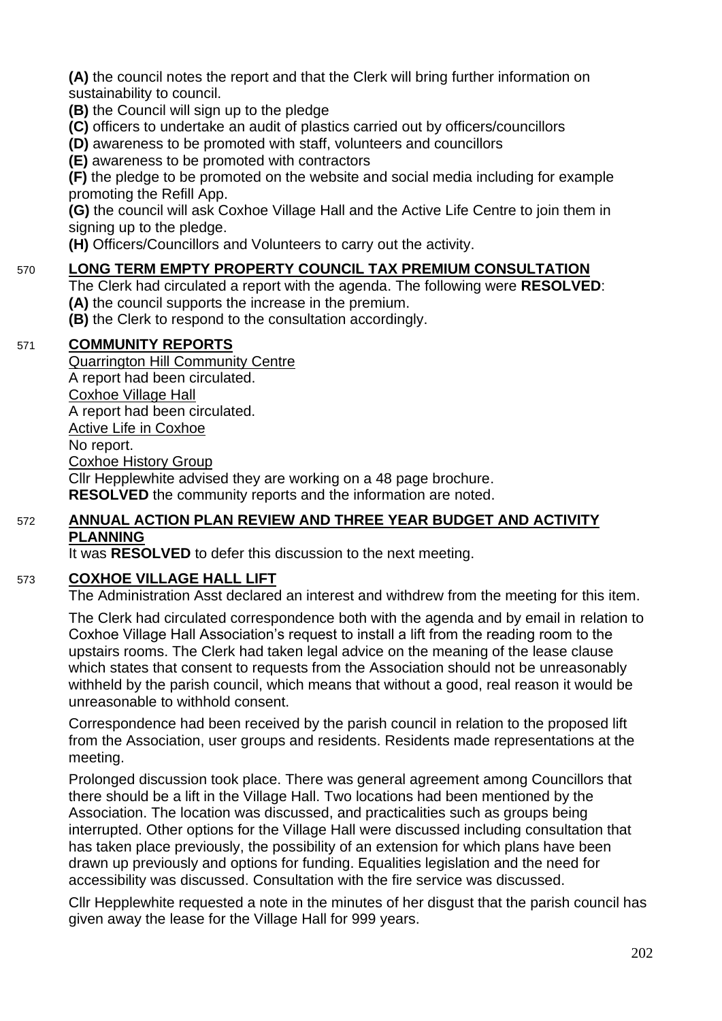**(A)** the council notes the report and that the Clerk will bring further information on sustainability to council.

**(B)** the Council will sign up to the pledge

**(C)** officers to undertake an audit of plastics carried out by officers/councillors

**(D)** awareness to be promoted with staff, volunteers and councillors

**(E)** awareness to be promoted with contractors

**(F)** the pledge to be promoted on the website and social media including for example promoting the Refill App.

**(G)** the council will ask Coxhoe Village Hall and the Active Life Centre to join them in signing up to the pledge.

**(H)** Officers/Councillors and Volunteers to carry out the activity.

## 570 **LONG TERM EMPTY PROPERTY COUNCIL TAX PREMIUM CONSULTATION**

The Clerk had circulated a report with the agenda. The following were **RESOLVED**: **(A)** the council supports the increase in the premium.

**(B)** the Clerk to respond to the consultation accordingly.

#### 571 **COMMUNITY REPORTS**

Quarrington Hill Community Centre A report had been circulated. Coxhoe Village Hall A report had been circulated. Active Life in Coxhoe No report. Coxhoe History Group Cllr Hepplewhite advised they are working on a 48 page brochure. **RESOLVED** the community reports and the information are noted.

#### 572 **ANNUAL ACTION PLAN REVIEW AND THREE YEAR BUDGET AND ACTIVITY PLANNING**

It was **RESOLVED** to defer this discussion to the next meeting.

#### 573 **COXHOE VILLAGE HALL LIFT**

The Administration Asst declared an interest and withdrew from the meeting for this item.

The Clerk had circulated correspondence both with the agenda and by email in relation to Coxhoe Village Hall Association's request to install a lift from the reading room to the upstairs rooms. The Clerk had taken legal advice on the meaning of the lease clause which states that consent to requests from the Association should not be unreasonably withheld by the parish council, which means that without a good, real reason it would be unreasonable to withhold consent.

Correspondence had been received by the parish council in relation to the proposed lift from the Association, user groups and residents. Residents made representations at the meeting.

Prolonged discussion took place. There was general agreement among Councillors that there should be a lift in the Village Hall. Two locations had been mentioned by the Association. The location was discussed, and practicalities such as groups being interrupted. Other options for the Village Hall were discussed including consultation that has taken place previously, the possibility of an extension for which plans have been drawn up previously and options for funding. Equalities legislation and the need for accessibility was discussed. Consultation with the fire service was discussed.

Cllr Hepplewhite requested a note in the minutes of her disgust that the parish council has given away the lease for the Village Hall for 999 years.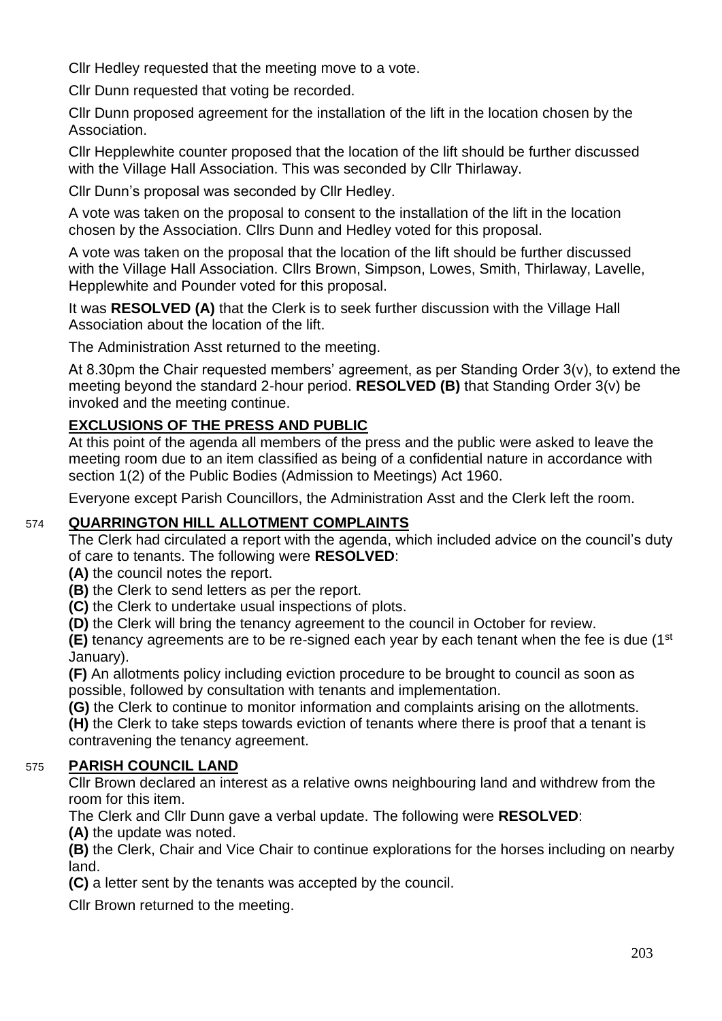Cllr Hedley requested that the meeting move to a vote.

Cllr Dunn requested that voting be recorded.

Cllr Dunn proposed agreement for the installation of the lift in the location chosen by the Association.

Cllr Hepplewhite counter proposed that the location of the lift should be further discussed with the Village Hall Association. This was seconded by Cllr Thirlaway.

Cllr Dunn's proposal was seconded by Cllr Hedley.

A vote was taken on the proposal to consent to the installation of the lift in the location chosen by the Association. Cllrs Dunn and Hedley voted for this proposal.

A vote was taken on the proposal that the location of the lift should be further discussed with the Village Hall Association. Cllrs Brown, Simpson, Lowes, Smith, Thirlaway, Lavelle, Hepplewhite and Pounder voted for this proposal.

It was **RESOLVED (A)** that the Clerk is to seek further discussion with the Village Hall Association about the location of the lift.

The Administration Asst returned to the meeting.

At 8.30pm the Chair requested members' agreement, as per Standing Order 3(v), to extend the meeting beyond the standard 2-hour period. **RESOLVED (B)** that Standing Order 3(v) be invoked and the meeting continue.

# **EXCLUSIONS OF THE PRESS AND PUBLIC**

At this point of the agenda all members of the press and the public were asked to leave the meeting room due to an item classified as being of a confidential nature in accordance with section 1(2) of the Public Bodies (Admission to Meetings) Act 1960.

Everyone except Parish Councillors, the Administration Asst and the Clerk left the room.

## 574 **QUARRINGTON HILL ALLOTMENT COMPLAINTS**

The Clerk had circulated a report with the agenda, which included advice on the council's duty of care to tenants. The following were **RESOLVED**:

- **(A)** the council notes the report.
- **(B)** the Clerk to send letters as per the report.
- **(C)** the Clerk to undertake usual inspections of plots.
- **(D)** the Clerk will bring the tenancy agreement to the council in October for review.

**(E)** tenancy agreements are to be re-signed each year by each tenant when the fee is due (1st January).

**(F)** An allotments policy including eviction procedure to be brought to council as soon as possible, followed by consultation with tenants and implementation.

**(G)** the Clerk to continue to monitor information and complaints arising on the allotments.

**(H)** the Clerk to take steps towards eviction of tenants where there is proof that a tenant is contravening the tenancy agreement.

# 575 **PARISH COUNCIL LAND**

Cllr Brown declared an interest as a relative owns neighbouring land and withdrew from the room for this item.

The Clerk and Cllr Dunn gave a verbal update. The following were **RESOLVED**:

**(A)** the update was noted.

**(B)** the Clerk, Chair and Vice Chair to continue explorations for the horses including on nearby land.

**(C)** a letter sent by the tenants was accepted by the council.

Cllr Brown returned to the meeting.